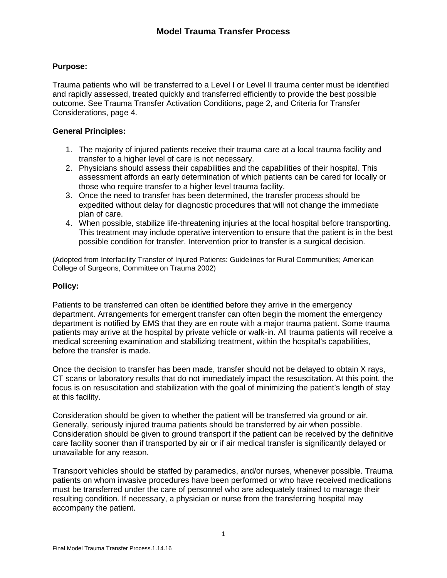# **Purpose:**

Trauma patients who will be transferred to a Level I or Level II trauma center must be identified and rapidly assessed, treated quickly and transferred efficiently to provide the best possible outcome. See Trauma Transfer Activation Conditions, page 2, and Criteria for Transfer Considerations, page 4.

## **General Principles:**

- 1. The majority of injured patients receive their trauma care at a local trauma facility and transfer to a higher level of care is not necessary.
- 2. Physicians should assess their capabilities and the capabilities of their hospital. This assessment affords an early determination of which patients can be cared for locally or those who require transfer to a higher level trauma facility.
- 3. Once the need to transfer has been determined, the transfer process should be expedited without delay for diagnostic procedures that will not change the immediate plan of care.
- 4. When possible, stabilize life-threatening injuries at the local hospital before transporting. This treatment may include operative intervention to ensure that the patient is in the best possible condition for transfer. Intervention prior to transfer is a surgical decision.

(Adopted from Interfacility Transfer of Injured Patients: Guidelines for Rural Communities; American College of Surgeons, Committee on Trauma 2002)

### **Policy:**

Patients to be transferred can often be identified before they arrive in the emergency department. Arrangements for emergent transfer can often begin the moment the emergency department is notified by EMS that they are en route with a major trauma patient. Some trauma patients may arrive at the hospital by private vehicle or walk-in. All trauma patients will receive a medical screening examination and stabilizing treatment, within the hospital's capabilities, before the transfer is made.

Once the decision to transfer has been made, transfer should not be delayed to obtain X rays, CT scans or laboratory results that do not immediately impact the resuscitation. At this point, the focus is on resuscitation and stabilization with the goal of minimizing the patient's length of stay at this facility.

Consideration should be given to whether the patient will be transferred via ground or air. Generally, seriously injured trauma patients should be transferred by air when possible. Consideration should be given to ground transport if the patient can be received by the definitive care facility sooner than if transported by air or if air medical transfer is significantly delayed or unavailable for any reason.

Transport vehicles should be staffed by paramedics, and/or nurses, whenever possible. Trauma patients on whom invasive procedures have been performed or who have received medications must be transferred under the care of personnel who are adequately trained to manage their resulting condition. If necessary, a physician or nurse from the transferring hospital may accompany the patient.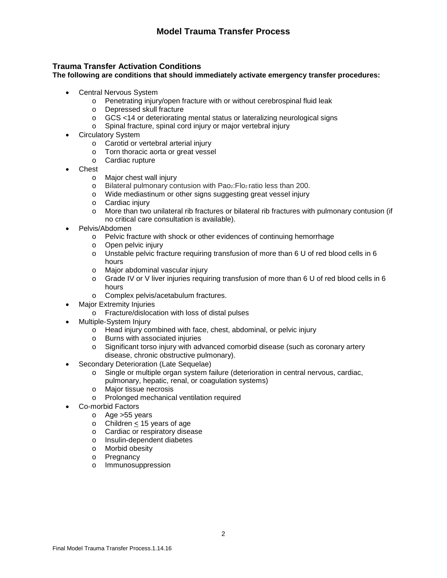# **Trauma Transfer Activation Conditions**

**The following are conditions that should immediately activate emergency transfer procedures:**

- Central Nervous System
	- o Penetrating injury/open fracture with or without cerebrospinal fluid leak
	- o Depressed skull fracture
	- o GCS <14 or deteriorating mental status or lateralizing neurological signs
	- o Spinal fracture, spinal cord injury or major vertebral injury
- Circulatory System
	- o Carotid or vertebral arterial injury
	- o Torn thoracic aorta or great vessel
	- o Cardiac rupture
- **Chest** 
	- o Major chest wall injury
	- o Bilateral pulmonary contusion with Pao2:Flo2 ratio less than 200.
	- o Wide mediastinum or other signs suggesting great vessel injury
	- o Cardiac injury
	- o More than two unilateral rib fractures or bilateral rib fractures with pulmonary contusion (if no critical care consultation is available).
- Pelvis/Abdomen
	- o Pelvic fracture with shock or other evidences of continuing hemorrhage
	- o Open pelvic injury
	- o Unstable pelvic fracture requiring transfusion of more than 6 U of red blood cells in 6 hours
	- o Major abdominal vascular injury
	- $\circ$  Grade IV or V liver injuries requiring transfusion of more than 6 U of red blood cells in 6 hours
	- o Complex pelvis/acetabulum fractures.
- **Major Extremity Injuries** 
	- o Fracture/dislocation with loss of distal pulses
- Multiple-System Injury
	- o Head injury combined with face, chest, abdominal, or pelvic injury
	- o Burns with associated injuries
	- o Significant torso injury with advanced comorbid disease (such as coronary artery disease, chronic obstructive pulmonary).
- Secondary Deterioration (Late Sequelae)
	- o Single or multiple organ system failure (deterioration in central nervous, cardiac, pulmonary, hepatic, renal, or coagulation systems)
	- o Major tissue necrosis
	- o Prolonged mechanical ventilation required
- Co-morbid Factors
	- o Age >55 years
	- o Children < 15 years of age
	- o Cardiac or respiratory disease
	- o Insulin-dependent diabetes
	- o Morbid obesity
	- o Pregnancy
	- o Immunosuppression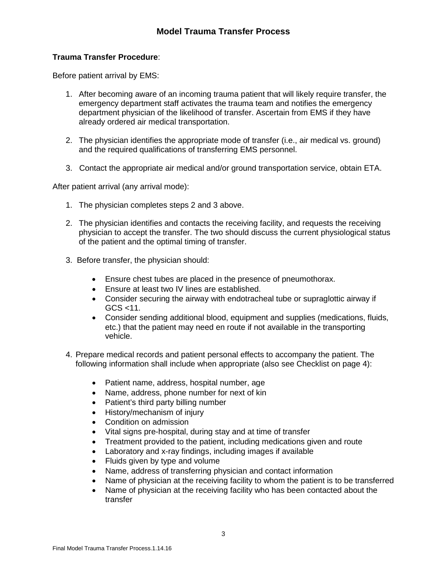# **Trauma Transfer Procedure**:

Before patient arrival by EMS:

- 1. After becoming aware of an incoming trauma patient that will likely require transfer, the emergency department staff activates the trauma team and notifies the emergency department physician of the likelihood of transfer. Ascertain from EMS if they have already ordered air medical transportation.
- 2. The physician identifies the appropriate mode of transfer (i.e., air medical vs. ground) and the required qualifications of transferring EMS personnel.
- 3. Contact the appropriate air medical and/or ground transportation service, obtain ETA.

After patient arrival (any arrival mode):

- 1. The physician completes steps 2 and 3 above.
- 2. The physician identifies and contacts the receiving facility, and requests the receiving physician to accept the transfer. The two should discuss the current physiological status of the patient and the optimal timing of transfer.
- 3. Before transfer, the physician should:
	- Ensure chest tubes are placed in the presence of pneumothorax.
	- Ensure at least two IV lines are established.
	- Consider securing the airway with endotracheal tube or supraglottic airway if  $GCS < 11$ .
	- Consider sending additional blood, equipment and supplies (medications, fluids, etc.) that the patient may need en route if not available in the transporting vehicle.
- 4. Prepare medical records and patient personal effects to accompany the patient. The following information shall include when appropriate (also see Checklist on page 4):
	- Patient name, address, hospital number, age
	- Name, address, phone number for next of kin
	- Patient's third party billing number
	- History/mechanism of injury
	- Condition on admission
	- Vital signs pre-hospital, during stay and at time of transfer
	- Treatment provided to the patient, including medications given and route
	- Laboratory and x-ray findings, including images if available
	- Fluids given by type and volume
	- Name, address of transferring physician and contact information
	- Name of physician at the receiving facility to whom the patient is to be transferred
	- Name of physician at the receiving facility who has been contacted about the transfer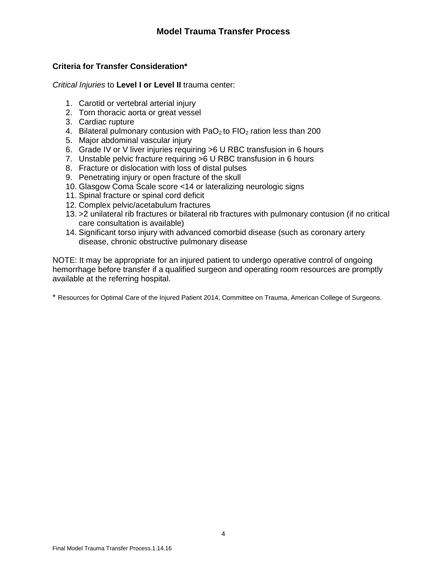# **Criteria for Transfer Consideration\***

*Critical Injuries* to **Level I or Level II** trauma center:

- 1. Carotid or vertebral arterial injury
- 2. Torn thoracic aorta or great vessel
- 3. Cardiac rupture
- 4. Bilateral pulmonary contusion with PaO<sub>2</sub> to FIO<sub>2</sub> ration less than 200
- 5. Major abdominal vascular injury
- 6. Grade IV or V liver injuries requiring >6 U RBC transfusion in 6 hours
- 7. Unstable pelvic fracture requiring >6 U RBC transfusion in 6 hours
- 8. Fracture or dislocation with loss of distal pulses
- 9. Penetrating injury or open fracture of the skull
- 10. Glasgow Coma Scale score <14 or lateralizing neurologic signs
- 11. Spinal fracture or spinal cord deficit
- 12. Complex pelvic/acetabulum fractures
- 13. >2 unilateral rib fractures or bilateral rib fractures with pulmonary contusion (if no critical care consultation is available)
- 14. Significant torso injury with advanced comorbid disease (such as coronary artery disease, chronic obstructive pulmonary disease

NOTE: It may be appropriate for an injured patient to undergo operative control of ongoing hemorrhage before transfer if a qualified surgeon and operating room resources are promptly available at the referring hospital.

\* Resources for Optimal Care of the Injured Patient 2014, Committee on Trauma, American College of Surgeons.